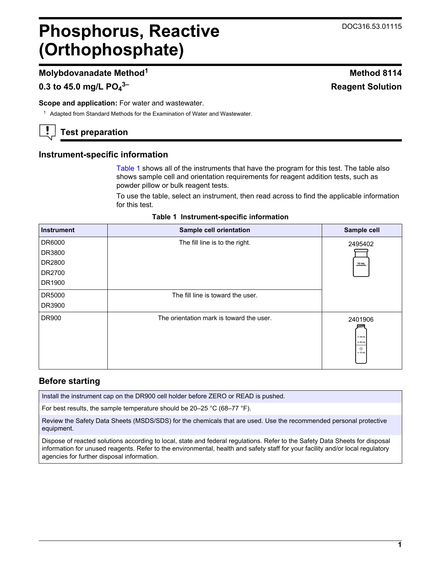## <span id="page-0-0"></span>**Phosphorus, Reactive (Orthophosphate)**

## **Molybdovanadate Method<sup>1</sup> Method 8114**

## **0.3 to 45.0 mg/L PO<sup>4</sup>**

**Scope and application:** For water and wastewater.

<sup>1</sup> Adapted from Standard Methods for the Examination of Water and Wastewater.

## **Test preparation**

## **Instrument-specific information**

Table 1 shows all of the instruments that have the program for this test. The table also shows sample cell and orientation requirements for reagent addition tests, such as powder pillow or bulk reagent tests.

To use the table, select an instrument, then read across to find the applicable information for this test.

|  | Table 1 Instrument-specific information |
|--|-----------------------------------------|
|--|-----------------------------------------|

| <b>Instrument</b> | Sample cell orientation                  | Sample cell                                  |
|-------------------|------------------------------------------|----------------------------------------------|
| DR6000            | The fill line is to the right.           | 2495402                                      |
| DR3800            |                                          |                                              |
| DR2800            |                                          | $10$ mL                                      |
| DR2700            |                                          |                                              |
| DR1900            |                                          |                                              |
| DR5000            | The fill line is toward the user.        |                                              |
| DR3900            |                                          |                                              |
| DR900             | The orientation mark is toward the user. | 2401906<br>$-25$ mL<br>$= 20$ mL<br>$-10$ mL |

## **Before starting**

Install the instrument cap on the DR900 cell holder before ZERO or READ is pushed.

For best results, the sample temperature should be 20–25 °C (68–77 °F).

Review the Safety Data Sheets (MSDS/SDS) for the chemicals that are used. Use the recommended personal protective equipment.

Dispose of reacted solutions according to local, state and federal regulations. Refer to the Safety Data Sheets for disposal information for unused reagents. Refer to the environmental, health and safety staff for your facility and/or local regulatory agencies for further disposal information.

# **3– Reagent Solution**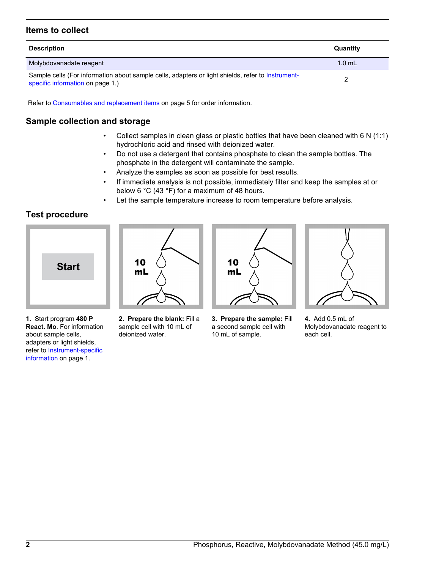## **Items to collect**

| <b>Description</b>                                                                                                                    | Quantity |
|---------------------------------------------------------------------------------------------------------------------------------------|----------|
| Molybdovanadate reagent                                                                                                               | $1.0$ mL |
| Sample cells (For information about sample cells, adapters or light shields, refer to Instrument-<br>specific information on page 1.) |          |

Refer to [Consumables and replacement items](#page-4-0) on page 5 for order information.

## **Sample collection and storage**

- Collect samples in clean glass or plastic bottles that have been cleaned with 6 N (1:1) hydrochloric acid and rinsed with deionized water.
- Do not use a detergent that contains phosphate to clean the sample bottles. The phosphate in the detergent will contaminate the sample.
- Analyze the samples as soon as possible for best results.
- If immediate analysis is not possible, immediately filter and keep the samples at or below 6 °C (43 °F) for a maximum of 48 hours.
- Let the sample temperature increase to room temperature before analysis.

## **Test procedure**



**1.** Start program **480 P React. Mo**. For information about sample cells, adapters or light shields, refer to [Instrument-specific](#page-0-0) [information](#page-0-0) on page 1.



**2. Prepare the blank:** Fill a sample cell with 10 mL of deionized water.



**3. Prepare the sample:** Fill a second sample cell with 10 mL of sample.



**4.** Add 0.5 mL of Molybdovanadate reagent to each cell.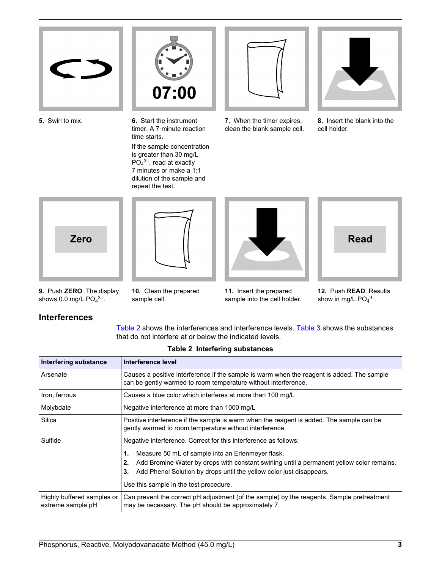



**5.** Swirl to mix. **6.** Start the instrument timer. A 7‑minute reaction time starts.

If the sample concentration is greater than 30 mg/L  $PO<sub>4</sub><sup>3–</sup>$ , read at exactly 7 minutes or make a 1:1 dilution of the sample and repeat the test.



clean the blank sample cell.



**8.** Insert the blank into the cell holder.



**9.** Push **ZERO**. The display shows 0.0 mg/L  $PO<sub>4</sub>$ <sup>3–</sup>.





**Read**

**10.** Clean the prepared sample cell.

**11.** Insert the prepared sample into the cell holder.

**12.** Push **READ**. Results show in mg/L  $PO<sub>4</sub><sup>3–</sup>$ .

## **Interferences**

Table 2 shows the interferences and interference levels. [Table 3](#page-3-0) shows the substances that do not interfere at or below the indicated levels.

| Interfering substance                           | Interference level                                                                                                                                                                                                                                                                 |  |
|-------------------------------------------------|------------------------------------------------------------------------------------------------------------------------------------------------------------------------------------------------------------------------------------------------------------------------------------|--|
| Arsenate                                        | Causes a positive interference if the sample is warm when the reagent is added. The sample<br>can be gently warmed to room temperature without interference.                                                                                                                       |  |
| Iron, ferrous                                   | Causes a blue color which interferes at more than 100 mg/L                                                                                                                                                                                                                         |  |
| Molybdate                                       | Negative interference at more than 1000 mg/L                                                                                                                                                                                                                                       |  |
| Silica                                          | Positive interference if the sample is warm when the reagent is added. The sample can be<br>gently warmed to room temperature without interference.                                                                                                                                |  |
| Sulfide                                         | Negative interference. Correct for this interference as follows:                                                                                                                                                                                                                   |  |
|                                                 | Measure 50 mL of sample into an Erlenmeyer flask.<br>1.<br>Add Bromine Water by drops with constant swirling until a permanent yellow color remains.<br>2.<br>Add Phenol Solution by drops until the yellow color just disappears.<br>3.<br>Use this sample in the test procedure. |  |
| Highly buffered samples or<br>extreme sample pH | Can prevent the correct pH adjustment (of the sample) by the reagents. Sample pretreatment<br>may be necessary. The pH should be approximately 7.                                                                                                                                  |  |

#### **Table 2 Interfering substances**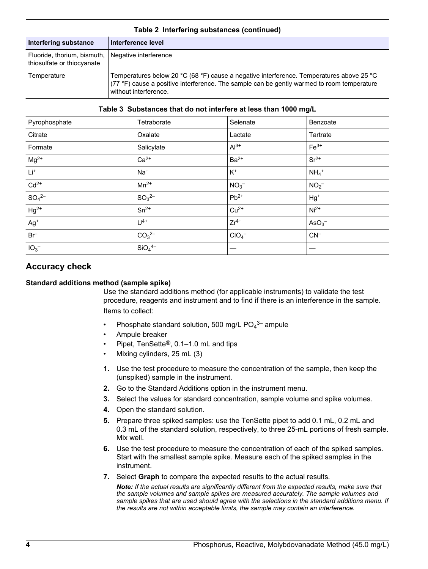<span id="page-3-0"></span>

| Interfering substance                                       | Interference level                                                                                                                                                                                              |
|-------------------------------------------------------------|-----------------------------------------------------------------------------------------------------------------------------------------------------------------------------------------------------------------|
| Fluoride, thorium, bismuth,  <br>thiosulfate or thiocyanate | Negative interference                                                                                                                                                                                           |
| Temperature                                                 | Temperatures below 20 °C (68 °F) cause a negative interference. Temperatures above 25 °C<br>(77 °F) cause a positive interference. The sample can be gently warmed to room temperature<br>without interference. |

#### **Table 2 Interfering substances (continued)**

#### **Table 3 Substances that do not interfere at less than 1000 mg/L**

| Pyrophosphate   | Tetraborate                    | Selenate         | Benzoate            |
|-----------------|--------------------------------|------------------|---------------------|
| Citrate         | Oxalate                        | Lactate          | Tartrate            |
| Formate         | Salicylate                     | $Al^{3+}$        | $Fe3+$              |
| $Mg^{2+}$       | $Ca2+$                         | $Ba2+$           | $Sr^{2+}$           |
| $Li+$           | $Na+$                          | $K^+$            | $NH_4$ <sup>+</sup> |
| $Cd2+$          | $Mn^{2+}$                      | NO <sub>3</sub>  | NO <sub>2</sub>     |
| $SO_4^{2-}$     | $SO_3^{2-}$                    | $Pb^{2+}$        | $Hg^+$              |
| $Hg^{2+}$       | $Sn^{2+}$                      | $Cu2+$           | $Ni2+$              |
| $Ag+$           | $U^{4+}$                       | $Zr^{4+}$        | AsO <sub>3</sub>    |
| $Br^-$          | CO <sub>3</sub> <sup>2–</sup>  | ClO <sub>4</sub> | $CN^-$              |
| IO <sub>3</sub> | SiO <sub>4</sub> <sup>4–</sup> |                  |                     |

## **Accuracy check**

#### **Standard additions method (sample spike)**

Use the standard additions method (for applicable instruments) to validate the test procedure, reagents and instrument and to find if there is an interference in the sample. Items to collect:

- Phosphate standard solution, 500 mg/L PO $_4$ <sup>3–</sup> ampule
- Ampule breaker
- Pipet, TenSette®, 0.1–1.0 mL and tips
- Mixing cylinders, 25 mL (3)
- **1.** Use the test procedure to measure the concentration of the sample, then keep the (unspiked) sample in the instrument.
- **2.** Go to the Standard Additions option in the instrument menu.
- **3.** Select the values for standard concentration, sample volume and spike volumes.
- **4.** Open the standard solution.
- **5.** Prepare three spiked samples: use the TenSette pipet to add 0.1 mL, 0.2 mL and 0.3 mL of the standard solution, respectively, to three 25-mL portions of fresh sample. Mix well.
- **6.** Use the test procedure to measure the concentration of each of the spiked samples. Start with the smallest sample spike. Measure each of the spiked samples in the instrument.
- **7.** Select **Graph** to compare the expected results to the actual results.

*Note: If the actual results are significantly different from the expected results, make sure that the sample volumes and sample spikes are measured accurately. The sample volumes and sample spikes that are used should agree with the selections in the standard additions menu. If the results are not within acceptable limits, the sample may contain an interference.*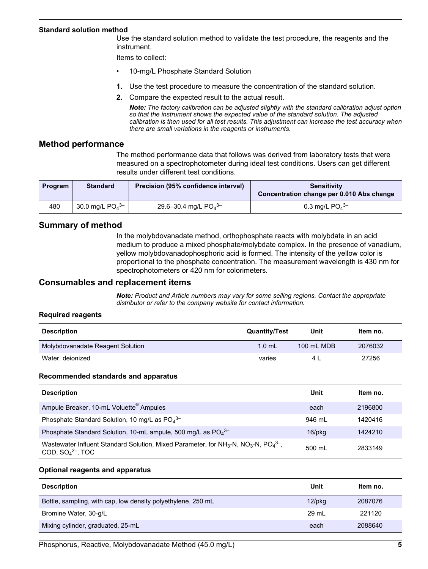#### <span id="page-4-0"></span>**Standard solution method**

Use the standard solution method to validate the test procedure, the reagents and the instrument.

Items to collect:

- 10-mg/L Phosphate Standard Solution
- **1.** Use the test procedure to measure the concentration of the standard solution.
- **2.** Compare the expected result to the actual result.

*Note: The factory calibration can be adjusted slightly with the standard calibration adjust option so that the instrument shows the expected value of the standard solution. The adjusted calibration is then used for all test results. This adjustment can increase the test accuracy when there are small variations in the reagents or instruments.*

#### **Method performance**

The method performance data that follows was derived from laboratory tests that were measured on a spectrophotometer during ideal test conditions. Users can get different results under different test conditions.

| Program | <b>Standard</b>               | Precision (95% confidence interval) | <b>Sensitivity</b><br>Concentration change per 0.010 Abs change |
|---------|-------------------------------|-------------------------------------|-----------------------------------------------------------------|
| 480     | 30.0 mg/L $PO4$ <sup>3-</sup> | 29.6–30.4 mg/L $PO4$ <sup>3–</sup>  | 0.3 mg/L $PO_4^{3-}$                                            |

#### **Summary of method**

In the molybdovanadate method, orthophosphate reacts with molybdate in an acid medium to produce a mixed phosphate/molybdate complex. In the presence of vanadium, yellow molybdovanadophosphoric acid is formed. The intensity of the yellow color is proportional to the phosphate concentration. The measurement wavelength is 430 nm for spectrophotometers or 420 nm for colorimeters.

#### **Consumables and replacement items**

*Note: Product and Article numbers may vary for some selling regions. Contact the appropriate distributor or refer to the company website for contact information.*

#### **Required reagents**

| <b>Description</b>               | <b>Quantity/Test</b> | Unit       | Item no. |
|----------------------------------|----------------------|------------|----------|
| Molybdovanadate Reagent Solution | $1.0$ mL             | 100 mL MDB | 2076032  |
| Water, deionized                 | varies               | 4 I        | 27256    |

#### **Recommended standards and apparatus**

| <b>Description</b>                                                                                                                                                      | Unit         | Item no. |
|-------------------------------------------------------------------------------------------------------------------------------------------------------------------------|--------------|----------|
| Ampule Breaker, 10-mL Voluette <sup>®</sup> Ampules                                                                                                                     | each         | 2196800  |
| Phosphate Standard Solution, 10 mg/L as $PO_4^{3-}$                                                                                                                     | 946 ml       | 1420416  |
| Phosphate Standard Solution, 10-mL ampule, 500 mg/L as $PO_4^{3-}$                                                                                                      | $16$ /p $kg$ | 1424210  |
| Wastewater Influent Standard Solution, Mixed Parameter, for NH <sub>3</sub> -N, NO <sub>3</sub> -N, PO <sub>4</sub> <sup>3-</sup> ,<br>COD, $SO_4^2$ <sup>-</sup> , TOC | 500 ml       | 2833149  |

#### **Optional reagents and apparatus**

| <b>Description</b>                                           | Unit      | Item no. |
|--------------------------------------------------------------|-----------|----------|
| Bottle, sampling, with cap, low density polyethylene, 250 mL | $12$ /pkg | 2087076  |
| Bromine Water, 30-g/L                                        | 29 mL     | 221120   |
| Mixing cylinder, graduated, 25-mL                            | each      | 2088640  |